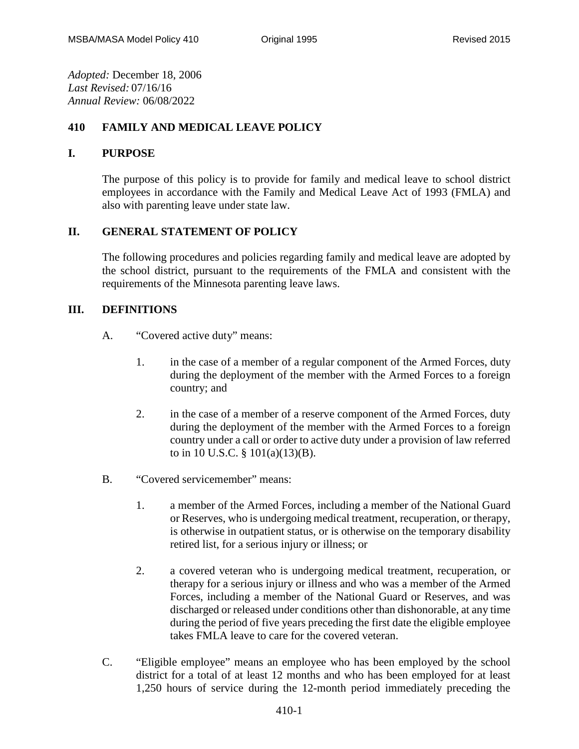*Adopted:* December 18, 2006 *Last Revised:* 07/16/16 *Annual Review:* 06/08/2022

# **410 FAMILY AND MEDICAL LEAVE POLICY**

### **I. PURPOSE**

The purpose of this policy is to provide for family and medical leave to school district employees in accordance with the Family and Medical Leave Act of 1993 (FMLA) and also with parenting leave under state law.

## **II. GENERAL STATEMENT OF POLICY**

The following procedures and policies regarding family and medical leave are adopted by the school district, pursuant to the requirements of the FMLA and consistent with the requirements of the Minnesota parenting leave laws.

## **III. DEFINITIONS**

- A. "Covered active duty" means:
	- 1. in the case of a member of a regular component of the Armed Forces, duty during the deployment of the member with the Armed Forces to a foreign country; and
	- 2. in the case of a member of a reserve component of the Armed Forces, duty during the deployment of the member with the Armed Forces to a foreign country under a call or order to active duty under a provision of law referred to in 10 U.S.C. § 101(a)(13)(B).
- B. "Covered servicemember" means:
	- 1. a member of the Armed Forces, including a member of the National Guard or Reserves, who is undergoing medical treatment, recuperation, or therapy, is otherwise in outpatient status, or is otherwise on the temporary disability retired list, for a serious injury or illness; or
	- 2. a covered veteran who is undergoing medical treatment, recuperation, or therapy for a serious injury or illness and who was a member of the Armed Forces, including a member of the National Guard or Reserves, and was discharged or released under conditions other than dishonorable, at any time during the period of five years preceding the first date the eligible employee takes FMLA leave to care for the covered veteran.
- C. "Eligible employee" means an employee who has been employed by the school district for a total of at least 12 months and who has been employed for at least 1,250 hours of service during the 12-month period immediately preceding the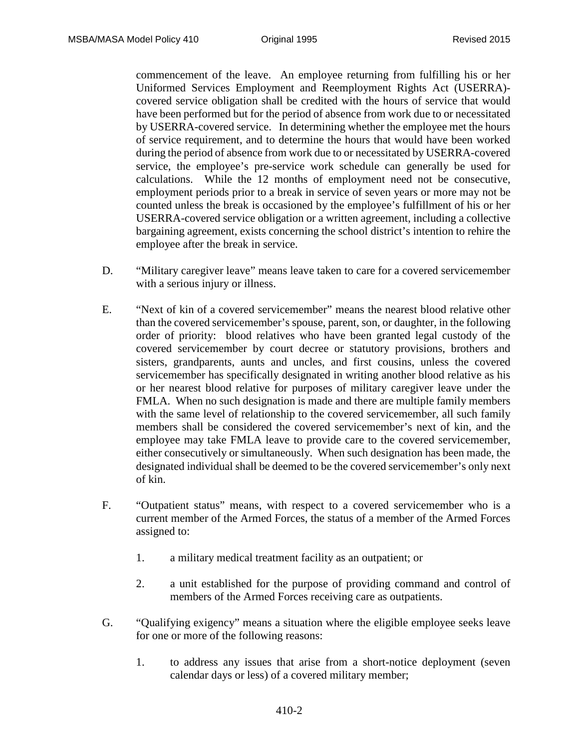commencement of the leave. An employee returning from fulfilling his or her Uniformed Services Employment and Reemployment Rights Act (USERRA) covered service obligation shall be credited with the hours of service that would have been performed but for the period of absence from work due to or necessitated by USERRA-covered service. In determining whether the employee met the hours of service requirement, and to determine the hours that would have been worked during the period of absence from work due to or necessitated by USERRA-covered service, the employee's pre-service work schedule can generally be used for calculations. While the 12 months of employment need not be consecutive, employment periods prior to a break in service of seven years or more may not be counted unless the break is occasioned by the employee's fulfillment of his or her USERRA-covered service obligation or a written agreement, including a collective bargaining agreement, exists concerning the school district's intention to rehire the employee after the break in service.

- D. "Military caregiver leave" means leave taken to care for a covered servicemember with a serious injury or illness.
- E. "Next of kin of a covered servicemember" means the nearest blood relative other than the covered servicemember's spouse, parent, son, or daughter, in the following order of priority: blood relatives who have been granted legal custody of the covered servicemember by court decree or statutory provisions, brothers and sisters, grandparents, aunts and uncles, and first cousins, unless the covered servicemember has specifically designated in writing another blood relative as his or her nearest blood relative for purposes of military caregiver leave under the FMLA. When no such designation is made and there are multiple family members with the same level of relationship to the covered servicemember, all such family members shall be considered the covered servicemember's next of kin, and the employee may take FMLA leave to provide care to the covered servicemember, either consecutively or simultaneously. When such designation has been made, the designated individual shall be deemed to be the covered servicemember's only next of kin.
- F. "Outpatient status" means, with respect to a covered servicemember who is a current member of the Armed Forces, the status of a member of the Armed Forces assigned to:
	- 1. a military medical treatment facility as an outpatient; or
	- 2. a unit established for the purpose of providing command and control of members of the Armed Forces receiving care as outpatients.
- G. "Qualifying exigency" means a situation where the eligible employee seeks leave for one or more of the following reasons:
	- 1. to address any issues that arise from a short-notice deployment (seven calendar days or less) of a covered military member;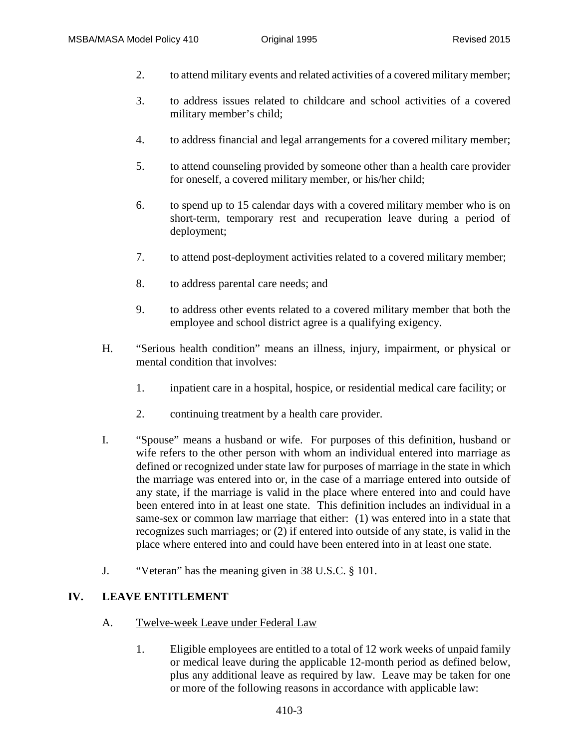- 2. to attend military events and related activities of a covered military member;
- 3. to address issues related to childcare and school activities of a covered military member's child;
- 4. to address financial and legal arrangements for a covered military member;
- 5. to attend counseling provided by someone other than a health care provider for oneself, a covered military member, or his/her child;
- 6. to spend up to 15 calendar days with a covered military member who is on short-term, temporary rest and recuperation leave during a period of deployment;
- 7. to attend post-deployment activities related to a covered military member;
- 8. to address parental care needs; and
- 9. to address other events related to a covered military member that both the employee and school district agree is a qualifying exigency.
- H. "Serious health condition" means an illness, injury, impairment, or physical or mental condition that involves:
	- 1. inpatient care in a hospital, hospice, or residential medical care facility; or
	- 2. continuing treatment by a health care provider.
- I. "Spouse" means a husband or wife. For purposes of this definition, husband or wife refers to the other person with whom an individual entered into marriage as defined or recognized under state law for purposes of marriage in the state in which the marriage was entered into or, in the case of a marriage entered into outside of any state, if the marriage is valid in the place where entered into and could have been entered into in at least one state. This definition includes an individual in a same-sex or common law marriage that either: (1) was entered into in a state that recognizes such marriages; or (2) if entered into outside of any state, is valid in the place where entered into and could have been entered into in at least one state.
- J. "Veteran" has the meaning given in 38 U.S.C. § 101.

#### **IV. LEAVE ENTITLEMENT**

- A. Twelve-week Leave under Federal Law
	- 1. Eligible employees are entitled to a total of 12 work weeks of unpaid family or medical leave during the applicable 12-month period as defined below, plus any additional leave as required by law. Leave may be taken for one or more of the following reasons in accordance with applicable law: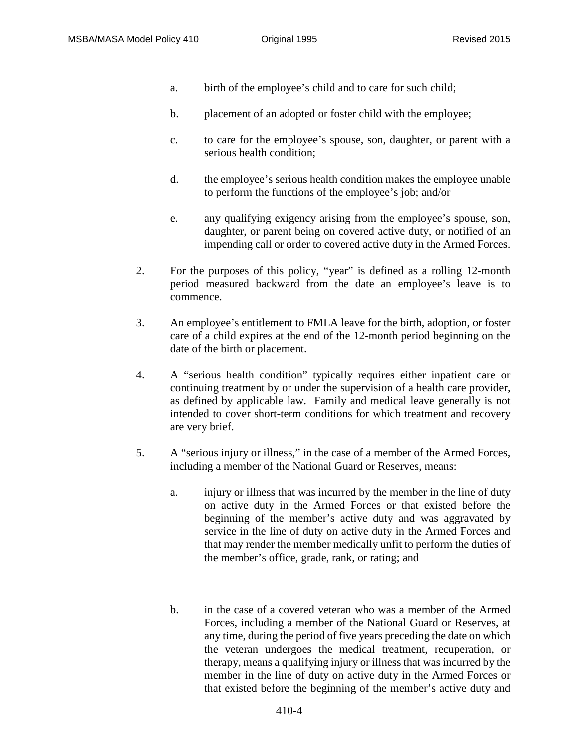- a. birth of the employee's child and to care for such child;
- b. placement of an adopted or foster child with the employee;
- c. to care for the employee's spouse, son, daughter, or parent with a serious health condition;
- d. the employee's serious health condition makes the employee unable to perform the functions of the employee's job; and/or
- e. any qualifying exigency arising from the employee's spouse, son, daughter, or parent being on covered active duty, or notified of an impending call or order to covered active duty in the Armed Forces.
- 2. For the purposes of this policy, "year" is defined as a rolling 12-month period measured backward from the date an employee's leave is to commence.
- 3. An employee's entitlement to FMLA leave for the birth, adoption, or foster care of a child expires at the end of the 12-month period beginning on the date of the birth or placement.
- 4. A "serious health condition" typically requires either inpatient care or continuing treatment by or under the supervision of a health care provider, as defined by applicable law. Family and medical leave generally is not intended to cover short-term conditions for which treatment and recovery are very brief.
- 5. A "serious injury or illness," in the case of a member of the Armed Forces, including a member of the National Guard or Reserves, means:
	- a. injury or illness that was incurred by the member in the line of duty on active duty in the Armed Forces or that existed before the beginning of the member's active duty and was aggravated by service in the line of duty on active duty in the Armed Forces and that may render the member medically unfit to perform the duties of the member's office, grade, rank, or rating; and
	- b. in the case of a covered veteran who was a member of the Armed Forces, including a member of the National Guard or Reserves, at any time, during the period of five years preceding the date on which the veteran undergoes the medical treatment, recuperation, or therapy, means a qualifying injury or illness that was incurred by the member in the line of duty on active duty in the Armed Forces or that existed before the beginning of the member's active duty and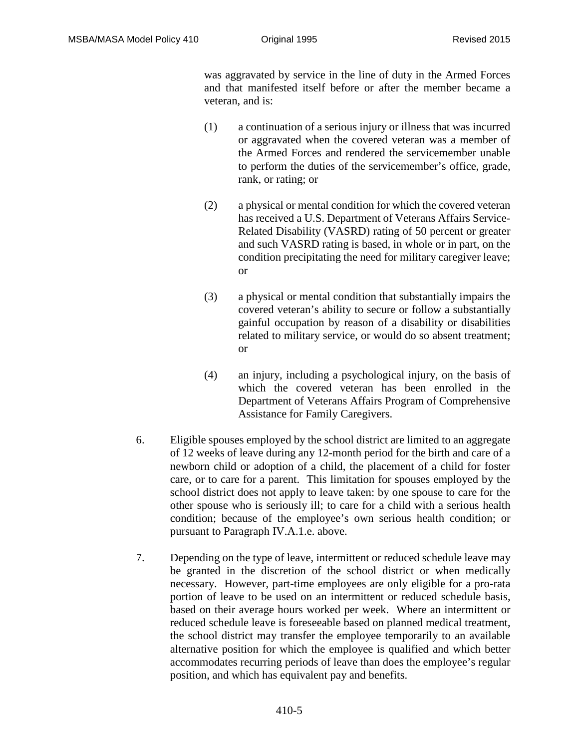was aggravated by service in the line of duty in the Armed Forces and that manifested itself before or after the member became a veteran, and is:

- (1) a continuation of a serious injury or illness that was incurred or aggravated when the covered veteran was a member of the Armed Forces and rendered the servicemember unable to perform the duties of the servicemember's office, grade, rank, or rating; or
- (2) a physical or mental condition for which the covered veteran has received a U.S. Department of Veterans Affairs Service-Related Disability (VASRD) rating of 50 percent or greater and such VASRD rating is based, in whole or in part, on the condition precipitating the need for military caregiver leave; or
- (3) a physical or mental condition that substantially impairs the covered veteran's ability to secure or follow a substantially gainful occupation by reason of a disability or disabilities related to military service, or would do so absent treatment; or
- (4) an injury, including a psychological injury, on the basis of which the covered veteran has been enrolled in the Department of Veterans Affairs Program of Comprehensive Assistance for Family Caregivers.
- 6. Eligible spouses employed by the school district are limited to an aggregate of 12 weeks of leave during any 12-month period for the birth and care of a newborn child or adoption of a child, the placement of a child for foster care, or to care for a parent. This limitation for spouses employed by the school district does not apply to leave taken: by one spouse to care for the other spouse who is seriously ill; to care for a child with a serious health condition; because of the employee's own serious health condition; or pursuant to Paragraph IV.A.1.e. above.
- 7. Depending on the type of leave, intermittent or reduced schedule leave may be granted in the discretion of the school district or when medically necessary. However, part-time employees are only eligible for a pro-rata portion of leave to be used on an intermittent or reduced schedule basis, based on their average hours worked per week. Where an intermittent or reduced schedule leave is foreseeable based on planned medical treatment, the school district may transfer the employee temporarily to an available alternative position for which the employee is qualified and which better accommodates recurring periods of leave than does the employee's regular position, and which has equivalent pay and benefits.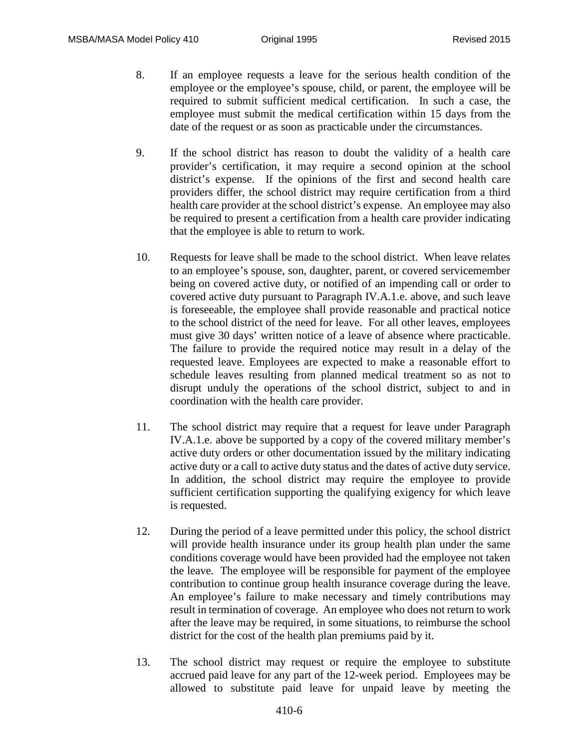- 8. If an employee requests a leave for the serious health condition of the employee or the employee's spouse, child, or parent, the employee will be required to submit sufficient medical certification. In such a case, the employee must submit the medical certification within 15 days from the date of the request or as soon as practicable under the circumstances.
- 9. If the school district has reason to doubt the validity of a health care provider's certification, it may require a second opinion at the school district's expense. If the opinions of the first and second health care providers differ, the school district may require certification from a third health care provider at the school district's expense. An employee may also be required to present a certification from a health care provider indicating that the employee is able to return to work.
- 10. Requests for leave shall be made to the school district. When leave relates to an employee's spouse, son, daughter, parent, or covered servicemember being on covered active duty, or notified of an impending call or order to covered active duty pursuant to Paragraph IV.A.1.e. above, and such leave is foreseeable, the employee shall provide reasonable and practical notice to the school district of the need for leave. For all other leaves, employees must give 30 days' written notice of a leave of absence where practicable. The failure to provide the required notice may result in a delay of the requested leave. Employees are expected to make a reasonable effort to schedule leaves resulting from planned medical treatment so as not to disrupt unduly the operations of the school district, subject to and in coordination with the health care provider.
- 11. The school district may require that a request for leave under Paragraph IV.A.1.e. above be supported by a copy of the covered military member's active duty orders or other documentation issued by the military indicating active duty or a call to active duty status and the dates of active duty service. In addition, the school district may require the employee to provide sufficient certification supporting the qualifying exigency for which leave is requested.
- 12. During the period of a leave permitted under this policy, the school district will provide health insurance under its group health plan under the same conditions coverage would have been provided had the employee not taken the leave. The employee will be responsible for payment of the employee contribution to continue group health insurance coverage during the leave. An employee's failure to make necessary and timely contributions may result in termination of coverage. An employee who does not return to work after the leave may be required, in some situations, to reimburse the school district for the cost of the health plan premiums paid by it.
- 13. The school district may request or require the employee to substitute accrued paid leave for any part of the 12-week period. Employees may be allowed to substitute paid leave for unpaid leave by meeting the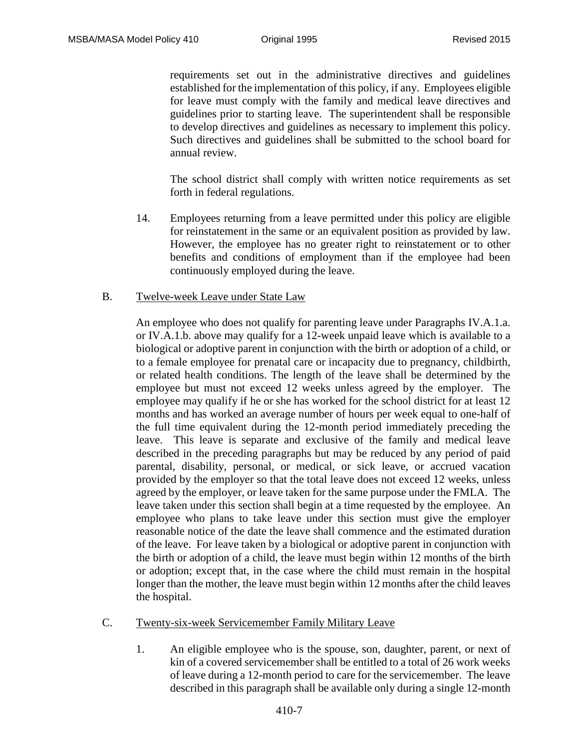requirements set out in the administrative directives and guidelines established for the implementation of this policy, if any. Employees eligible for leave must comply with the family and medical leave directives and guidelines prior to starting leave. The superintendent shall be responsible to develop directives and guidelines as necessary to implement this policy. Such directives and guidelines shall be submitted to the school board for annual review.

The school district shall comply with written notice requirements as set forth in federal regulations.

14. Employees returning from a leave permitted under this policy are eligible for reinstatement in the same or an equivalent position as provided by law. However, the employee has no greater right to reinstatement or to other benefits and conditions of employment than if the employee had been continuously employed during the leave.

#### B. Twelve-week Leave under State Law

An employee who does not qualify for parenting leave under Paragraphs IV.A.1.a. or IV.A.1.b. above may qualify for a 12-week unpaid leave which is available to a biological or adoptive parent in conjunction with the birth or adoption of a child, or to a female employee for prenatal care or incapacity due to pregnancy, childbirth, or related health conditions. The length of the leave shall be determined by the employee but must not exceed 12 weeks unless agreed by the employer. The employee may qualify if he or she has worked for the school district for at least 12 months and has worked an average number of hours per week equal to one-half of the full time equivalent during the 12-month period immediately preceding the leave. This leave is separate and exclusive of the family and medical leave described in the preceding paragraphs but may be reduced by any period of paid parental, disability, personal, or medical, or sick leave, or accrued vacation provided by the employer so that the total leave does not exceed 12 weeks, unless agreed by the employer, or leave taken for the same purpose under the FMLA. The leave taken under this section shall begin at a time requested by the employee. An employee who plans to take leave under this section must give the employer reasonable notice of the date the leave shall commence and the estimated duration of the leave. For leave taken by a biological or adoptive parent in conjunction with the birth or adoption of a child, the leave must begin within 12 months of the birth or adoption; except that, in the case where the child must remain in the hospital longer than the mother, the leave must begin within 12 months after the child leaves the hospital.

#### C. Twenty-six-week Servicemember Family Military Leave

1. An eligible employee who is the spouse, son, daughter, parent, or next of kin of a covered servicemember shall be entitled to a total of 26 work weeks of leave during a 12-month period to care for the servicemember. The leave described in this paragraph shall be available only during a single 12-month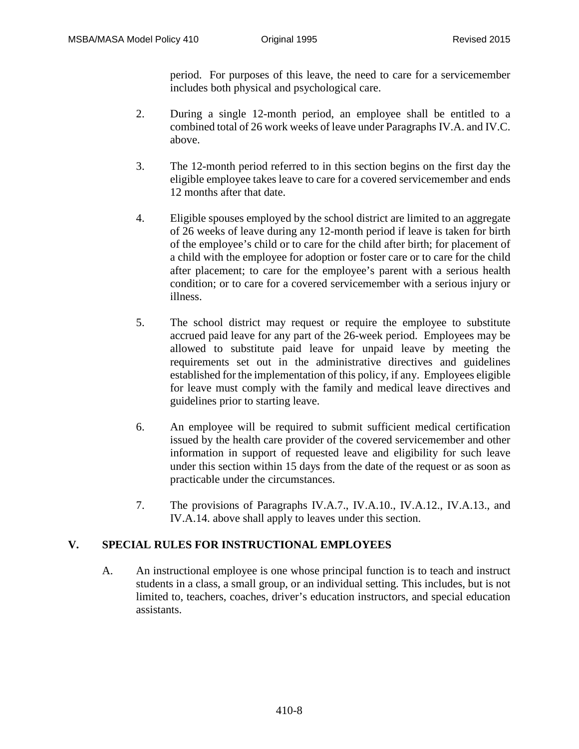period. For purposes of this leave, the need to care for a servicemember includes both physical and psychological care.

- 2. During a single 12-month period, an employee shall be entitled to a combined total of 26 work weeks of leave under Paragraphs IV.A. and IV.C. above.
- 3. The 12-month period referred to in this section begins on the first day the eligible employee takes leave to care for a covered servicemember and ends 12 months after that date.
- 4. Eligible spouses employed by the school district are limited to an aggregate of 26 weeks of leave during any 12-month period if leave is taken for birth of the employee's child or to care for the child after birth; for placement of a child with the employee for adoption or foster care or to care for the child after placement; to care for the employee's parent with a serious health condition; or to care for a covered servicemember with a serious injury or illness.
- 5. The school district may request or require the employee to substitute accrued paid leave for any part of the 26-week period. Employees may be allowed to substitute paid leave for unpaid leave by meeting the requirements set out in the administrative directives and guidelines established for the implementation of this policy, if any. Employees eligible for leave must comply with the family and medical leave directives and guidelines prior to starting leave.
- 6. An employee will be required to submit sufficient medical certification issued by the health care provider of the covered servicemember and other information in support of requested leave and eligibility for such leave under this section within 15 days from the date of the request or as soon as practicable under the circumstances.
- 7. The provisions of Paragraphs IV.A.7., IV.A.10., IV.A.12., IV.A.13., and IV.A.14. above shall apply to leaves under this section.

## **V. SPECIAL RULES FOR INSTRUCTIONAL EMPLOYEES**

A. An instructional employee is one whose principal function is to teach and instruct students in a class, a small group, or an individual setting. This includes, but is not limited to, teachers, coaches, driver's education instructors, and special education assistants.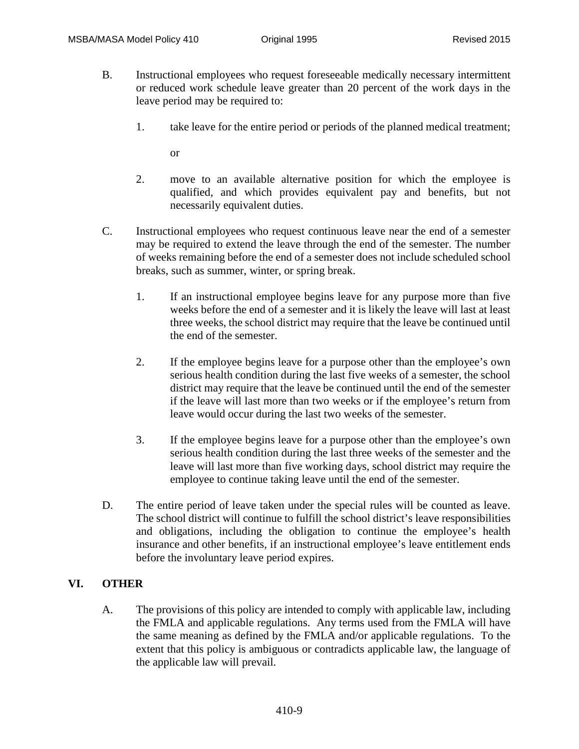- B. Instructional employees who request foreseeable medically necessary intermittent or reduced work schedule leave greater than 20 percent of the work days in the leave period may be required to:
	- 1. take leave for the entire period or periods of the planned medical treatment;

or

- 2. move to an available alternative position for which the employee is qualified, and which provides equivalent pay and benefits, but not necessarily equivalent duties.
- C. Instructional employees who request continuous leave near the end of a semester may be required to extend the leave through the end of the semester. The number of weeks remaining before the end of a semester does not include scheduled school breaks, such as summer, winter, or spring break.
	- 1. If an instructional employee begins leave for any purpose more than five weeks before the end of a semester and it is likely the leave will last at least three weeks, the school district may require that the leave be continued until the end of the semester.
	- 2. If the employee begins leave for a purpose other than the employee's own serious health condition during the last five weeks of a semester, the school district may require that the leave be continued until the end of the semester if the leave will last more than two weeks or if the employee's return from leave would occur during the last two weeks of the semester.
	- 3. If the employee begins leave for a purpose other than the employee's own serious health condition during the last three weeks of the semester and the leave will last more than five working days, school district may require the employee to continue taking leave until the end of the semester.
- D. The entire period of leave taken under the special rules will be counted as leave. The school district will continue to fulfill the school district's leave responsibilities and obligations, including the obligation to continue the employee's health insurance and other benefits, if an instructional employee's leave entitlement ends before the involuntary leave period expires.

## **VI. OTHER**

A. The provisions of this policy are intended to comply with applicable law, including the FMLA and applicable regulations. Any terms used from the FMLA will have the same meaning as defined by the FMLA and/or applicable regulations. To the extent that this policy is ambiguous or contradicts applicable law, the language of the applicable law will prevail.